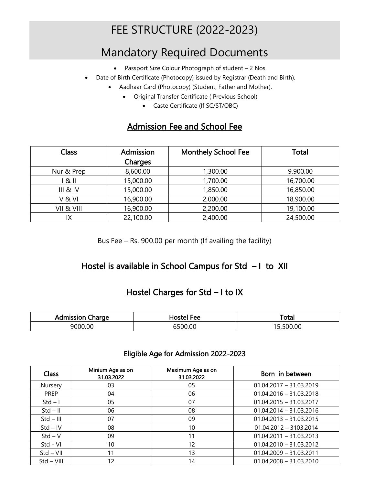# FEE STRUCTURE (2022-2023)

## Mandatory Required Documents

- Passport Size Colour Photograph of student 2 Nos.
- Date of Birth Certificate (Photocopy) issued by Registrar (Death and Birth).
	- Aadhaar Card (Photocopy) (Student, Father and Mother).
		- Original Transfer Certificate ( Previous School)
			- Caste Certificate (If SC/ST/OBC)

#### Admission Fee and School Fee

| <b>Class</b>        | Admission<br>Charges | <b>Monthely School Fee</b> | <b>Total</b> |
|---------------------|----------------------|----------------------------|--------------|
| Nur & Prep          | 8,600.00             | 1,300.00                   | 9,900.00     |
| 1 & II              | 15,000.00            | 1,700.00                   | 16,700.00    |
| <b>III &amp; IV</b> | 15,000.00            | 1,850.00                   | 16,850.00    |
| V&VI                | 16,900.00            | 2,000.00                   | 18,900.00    |
| VII & VIII          | 16,900.00            | 2,200.00                   | 19,100.00    |
| IX                  | 22,100.00            | 2,400.00                   | 24,500.00    |

Bus Fee – Rs. 900.00 per month (If availing the facility)

#### Hostel is available in School Campus for Std - I to XII

#### Hostel Charges for Std - I to IX

| dmission<br>harge:<br>ישר | <sup>⊏</sup> ee<br>го | Total                                  |
|---------------------------|-----------------------|----------------------------------------|
| 9000.00                   | 0.00                  | $\sim$ $\sim$ $\sim$<br>OC.<br>'н<br>י |

#### Eligible Age for Admission 2022-2023

| Class        | Minium Age as on<br>31.03.2022 | Maximum Age as on<br>31.03.2022 | Born in between           |
|--------------|--------------------------------|---------------------------------|---------------------------|
| Nursery      | 03                             | 05                              | $01.04.2017 - 31.03.2019$ |
| <b>PREP</b>  | 04                             | 06                              | $01.04.2016 - 31.03.2018$ |
| $Std - I$    | 05                             | 07                              | $01.04.2015 - 31.03.2017$ |
| $Std - II$   | 06                             | 08                              | $01.04.2014 - 31.03.2016$ |
| $Std - III$  | 07                             | 09                              | $01.04.2013 - 31.03.2015$ |
| $Std - IV$   | 08                             | 10                              | $01.04.2012 - 3103.2014$  |
| $Std - V$    | 09                             | 11                              | $01.04.2011 - 31.03.2013$ |
| Std - VI     | 10                             | 12                              | $01.04.2010 - 31.03.2012$ |
| $Std - VII$  | 11                             | 13                              | $01.04.2009 - 31.03.2011$ |
| $Std - VIII$ | 12                             | 14                              | $01.04.2008 - 31.03.2010$ |